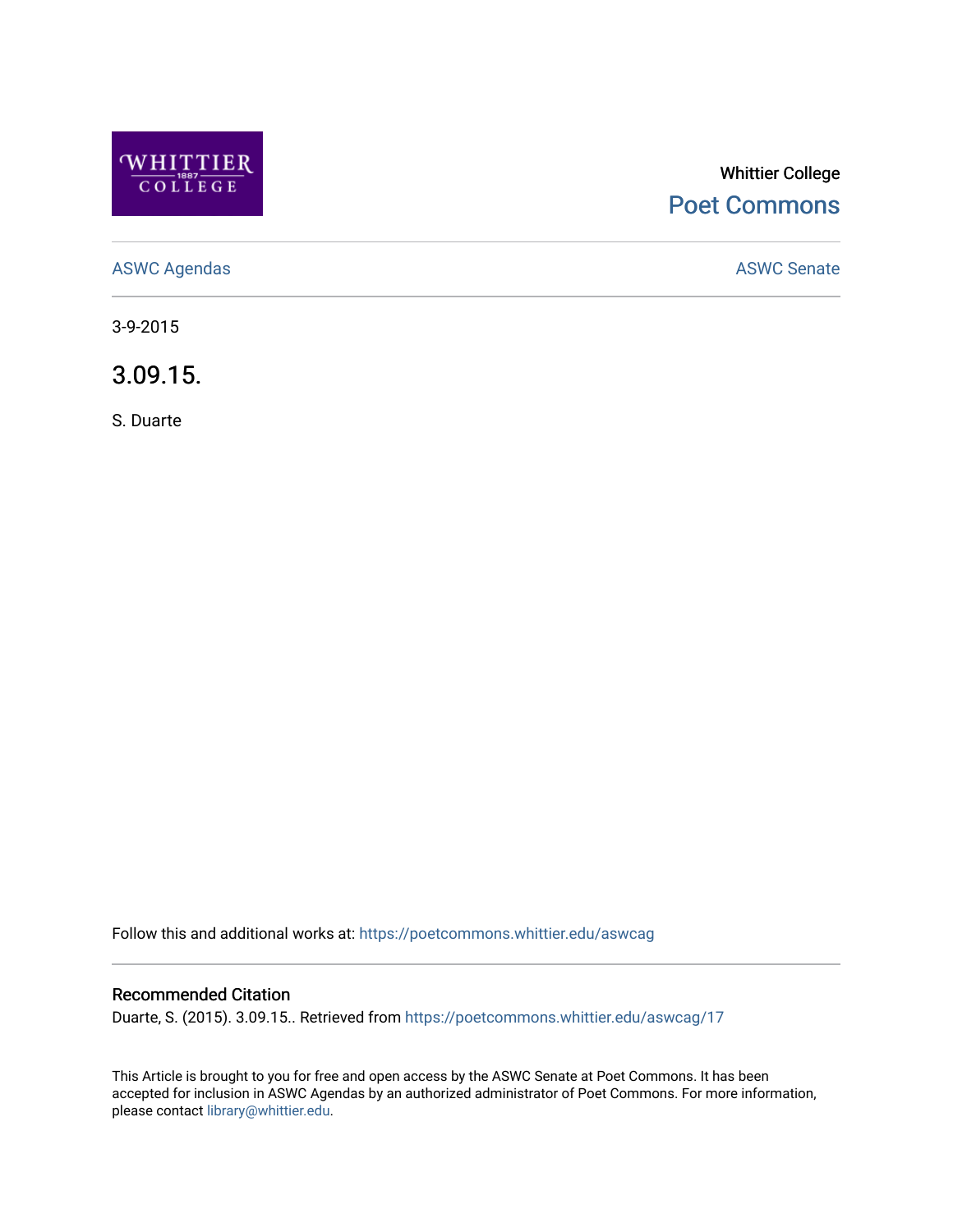

# Whittier College [Poet Commons](https://poetcommons.whittier.edu/)

[ASWC Agendas](https://poetcommons.whittier.edu/aswcag) **ASWC Senate** 

3-9-2015

3.09.15.

S. Duarte

Follow this and additional works at: [https://poetcommons.whittier.edu/aswcag](https://poetcommons.whittier.edu/aswcag?utm_source=poetcommons.whittier.edu%2Faswcag%2F17&utm_medium=PDF&utm_campaign=PDFCoverPages) 

## Recommended Citation

Duarte, S. (2015). 3.09.15.. Retrieved from [https://poetcommons.whittier.edu/aswcag/17](https://poetcommons.whittier.edu/aswcag/17?utm_source=poetcommons.whittier.edu%2Faswcag%2F17&utm_medium=PDF&utm_campaign=PDFCoverPages) 

This Article is brought to you for free and open access by the ASWC Senate at Poet Commons. It has been accepted for inclusion in ASWC Agendas by an authorized administrator of Poet Commons. For more information, please contact [library@whittier.edu](mailto:library@whittier.edu).